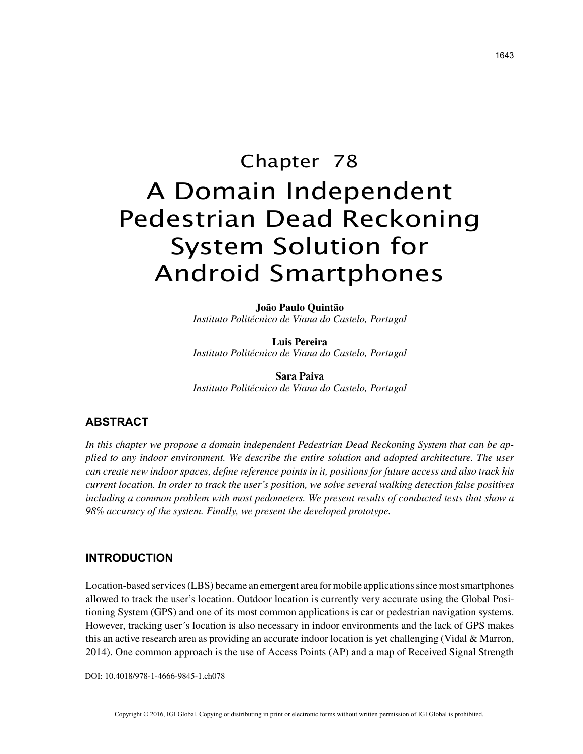# Chapter 78 A Domain Independent Pedestrian Dead Reckoning System Solution for Android Smartphones

**João Paulo Quintão** *Instituto Politécnico de Viana do Castelo, Portugal*

**Luis Pereira** *Instituto Politécnico de Viana do Castelo, Portugal*

**Sara Paiva** *Instituto Politécnico de Viana do Castelo, Portugal*

# **ABSTRACT**

*In this chapter we propose a domain independent Pedestrian Dead Reckoning System that can be applied to any indoor environment. We describe the entire solution and adopted architecture. The user can create new indoor spaces, define reference points in it, positions for future access and also track his current location. In order to track the user's position, we solve several walking detection false positives*  including a common problem with most pedometers. We present results of conducted tests that show a *98% accuracy of the system. Finally, we present the developed prototype.*

# **INTRODUCTION**

Location-based services (LBS) became an emergent area for mobile applications since most smartphones allowed to track the user's location. Outdoor location is currently very accurate using the Global Positioning System (GPS) and one of its most common applications is car or pedestrian navigation systems. However, tracking user´s location is also necessary in indoor environments and the lack of GPS makes this an active research area as providing an accurate indoor location is yet challenging (Vidal & Marron, 2014). One common approach is the use of Access Points (AP) and a map of Received Signal Strength

DOI: 10.4018/978-1-4666-9845-1.ch078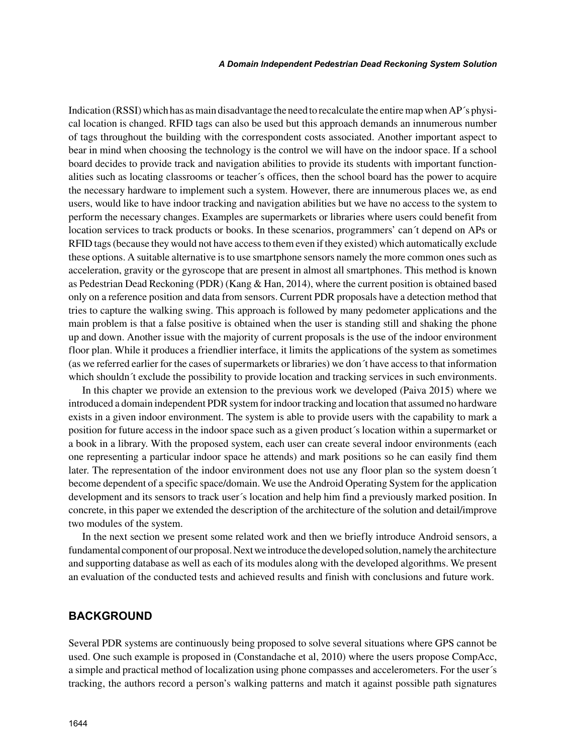Indication (RSSI) which has as main disadvantage the need to recalculate the entire map when AP´s physical location is changed. RFID tags can also be used but this approach demands an innumerous number of tags throughout the building with the correspondent costs associated. Another important aspect to bear in mind when choosing the technology is the control we will have on the indoor space. If a school board decides to provide track and navigation abilities to provide its students with important functionalities such as locating classrooms or teacher´s offices, then the school board has the power to acquire the necessary hardware to implement such a system. However, there are innumerous places we, as end users, would like to have indoor tracking and navigation abilities but we have no access to the system to perform the necessary changes. Examples are supermarkets or libraries where users could benefit from location services to track products or books. In these scenarios, programmers' can´t depend on APs or RFID tags (because they would not have access to them even if they existed) which automatically exclude these options. A suitable alternative is to use smartphone sensors namely the more common ones such as acceleration, gravity or the gyroscope that are present in almost all smartphones. This method is known as Pedestrian Dead Reckoning (PDR) (Kang & Han, 2014), where the current position is obtained based only on a reference position and data from sensors. Current PDR proposals have a detection method that tries to capture the walking swing. This approach is followed by many pedometer applications and the main problem is that a false positive is obtained when the user is standing still and shaking the phone up and down. Another issue with the majority of current proposals is the use of the indoor environment floor plan. While it produces a friendlier interface, it limits the applications of the system as sometimes (as we referred earlier for the cases of supermarkets or libraries) we don´t have access to that information which shouldn<sup> $\dot{\tau}$ </sup> exclude the possibility to provide location and tracking services in such environments.

In this chapter we provide an extension to the previous work we developed (Paiva 2015) where we introduced a domain independent PDR system for indoor tracking and location that assumed no hardware exists in a given indoor environment. The system is able to provide users with the capability to mark a position for future access in the indoor space such as a given product´s location within a supermarket or a book in a library. With the proposed system, each user can create several indoor environments (each one representing a particular indoor space he attends) and mark positions so he can easily find them later. The representation of the indoor environment does not use any floor plan so the system doesn´t become dependent of a specific space/domain. We use the Android Operating System for the application development and its sensors to track user´s location and help him find a previously marked position. In concrete, in this paper we extended the description of the architecture of the solution and detail/improve two modules of the system.

In the next section we present some related work and then we briefly introduce Android sensors, a fundamental component of our proposal. Next we introduce the developed solution, namely the architecture and supporting database as well as each of its modules along with the developed algorithms. We present an evaluation of the conducted tests and achieved results and finish with conclusions and future work.

### **BACKGROUND**

Several PDR systems are continuously being proposed to solve several situations where GPS cannot be used. One such example is proposed in (Constandache et al, 2010) where the users propose CompAcc, a simple and practical method of localization using phone compasses and accelerometers. For the user´s tracking, the authors record a person's walking patterns and match it against possible path signatures